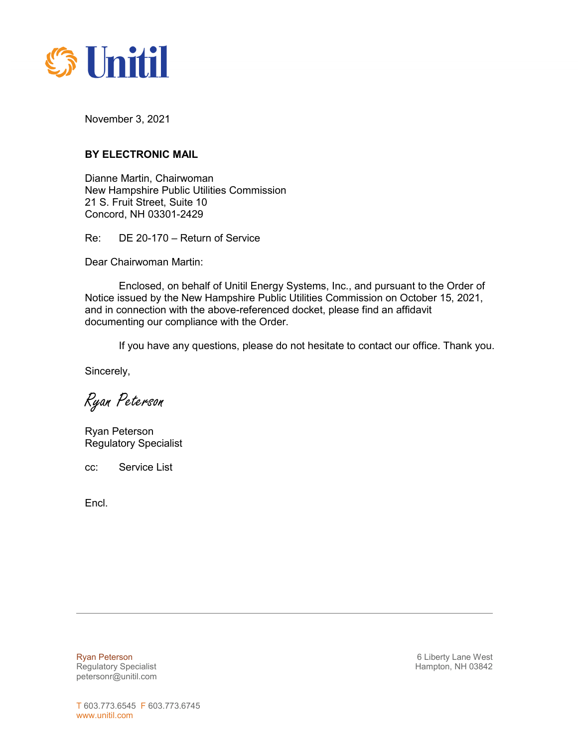

November 3, 2021

## **BY ELECTRONIC MAIL**

Dianne Martin, Chairwoman New Hampshire Public Utilities Commission 21 S. Fruit Street, Suite 10 Concord, NH 03301-2429

Re: DE 20-170 – Return of Service

Dear Chairwoman Martin:

Enclosed, on behalf of Unitil Energy Systems, Inc., and pursuant to the Order of Notice issued by the New Hampshire Public Utilities Commission on October 15, 2021, and in connection with the above-referenced docket, please find an affidavit documenting our compliance with the Order.

If you have any questions, please do not hesitate to contact our office. Thank you.

Sincerely,

Ryan Peterson

Ryan Peterson Regulatory Specialist

cc: Service List

Encl.

Regulatory Specialist **Hampton, NH 03842 Hampton, NH 03842** petersonr@unitil.com

Ryan Peterson **6 Liberty Lane West 6 Liberty Lane West**